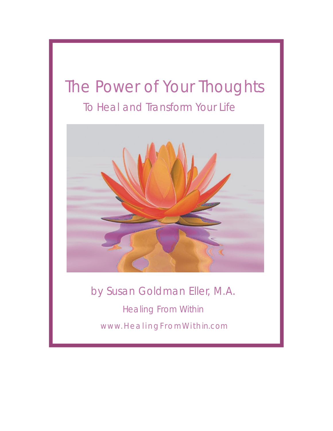# The Power of Your Thoughts To Heal and Transform Your Life



Healing From Within www.HealingFromW ithin.com by Susan Goldman Eller, M.A.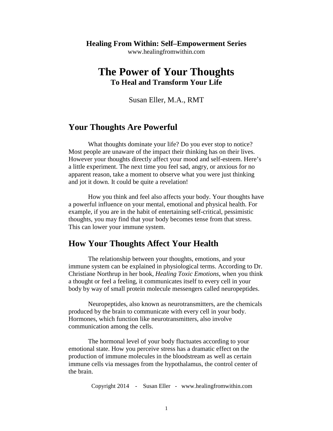#### **Healing From Within: Self–Empowerment Series** www.healingfromwithin.com

# **The Power of Your Thoughts To Heal and Transform Your Life**

Susan Eller, M.A., RMT

#### **Your Thoughts Are Powerful**

What thoughts dominate your life? Do you ever stop to notice? Most people are unaware of the impact their thinking has on their lives. However your thoughts directly affect your mood and self-esteem. Here's a little experiment. The next time you feel sad, angry, or anxious for no apparent reason, take a moment to observe what you were just thinking and jot it down. It could be quite a revelation!

How you think and feel also affects your body. Your thoughts have a powerful influence on your mental, emotional and physical health. For example, if you are in the habit of entertaining self-critical, pessimistic thoughts, you may find that your body becomes tense from that stress. This can lower your immune system.

## **How Your Thoughts Affect Your Health**

The relationship between your thoughts, emotions, and your immune system can be explained in physiological terms. According to Dr. Christiane Northrup in her book, *Healing Toxic Emotions*, when you think a thought or feel a feeling, it communicates itself to every cell in your body by way of small protein molecule messengers called neuropeptides.

Neuropeptides, also known as neurotransmitters, are the chemicals produced by the brain to communicate with every cell in your body. Hormones, which function like neurotransmitters, also involve communication among the cells.

The hormonal level of your body fluctuates according to your emotional state. How you perceive stress has a dramatic effect on the production of immune molecules in the bloodstream as well as certain immune cells via messages from the hypothalamus, the control center of the brain.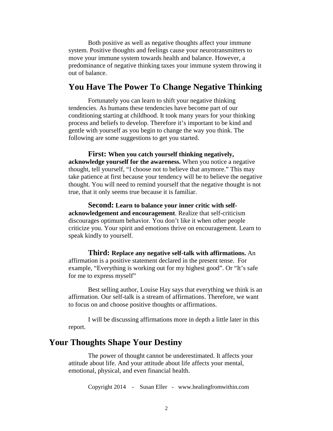Both positive as well as negative thoughts affect your immune system. Positive thoughts and feelings cause your neurotransmitters to move your immune system towards health and balance. However, a predominance of negative thinking taxes your immune system throwing it out of balance.

#### **You Have The Power To Change Negative Thinking**

Fortunately you can learn to shift your negative thinking tendencies. As humans these tendencies have become part of our conditioning starting at childhood. It took many years for your thinking process and beliefs to develop. Therefore it's important to be kind and gentle with yourself as you begin to change the way you think. The following are some suggestions to get you started.

**First: When you catch yourself thinking negatively, acknowledge yourself for the awareness.** When you notice a negative thought, tell yourself, "I choose not to believe that anymore." This may take patience at first because your tendency will be to believe the negative thought. You will need to remind yourself that the negative thought is not true, that it only seems true because it is familiar.

**Second: Learn to balance your inner critic with selfacknowledgement and encouragement**. Realize that self-criticism discourages optimum behavior. You don't like it when other people criticize you. Your spirit and emotions thrive on encouragement. Learn to speak kindly to yourself.

**Third: Replace any negative self-talk with affirmations.** An affirmation is a positive statement declared in the present tense. For example, "Everything is working out for my highest good". Or "It's safe for me to express myself"

Best selling author, Louise Hay says that everything we think is an affirmation. Our self-talk is a stream of affirmations. Therefore, we want to focus on and choose positive thoughts or affirmations.

I will be discussing affirmations more in depth a little later in this report.

### **Your Thoughts Shape Your Destiny**

The power of thought cannot be underestimated. It affects your attitude about life. And your attitude about life affects your mental, emotional, physical, and even financial health.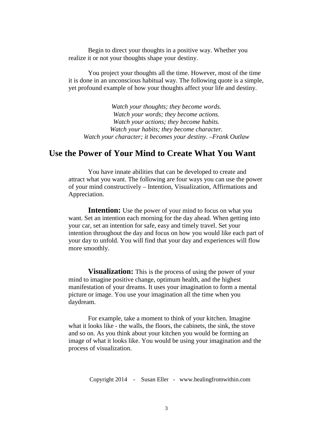Begin to direct your thoughts in a positive way. Whether you realize it or not your thoughts shape your destiny.

You project your thoughts all the time. However, most of the time it is done in an unconscious habitual way. The following quote is a simple, yet profound example of how your thoughts affect your life and destiny.

*Watch your thoughts; they become words. Watch your words; they become actions. Watch your actions; they become habits. Watch your habits; they become character. Watch your character; it becomes your destiny. –Frank Outlaw*

# **Use the Power of Your Mind to Create What You Want**

You have innate abilities that can be developed to create and attract what you want. The following are four ways you can use the power of your mind constructively – Intention, Visualization, Affirmations and Appreciation.

**Intention:** Use the power of your mind to focus on what you want. Set an intention each morning for the day ahead. When getting into your car, set an intention for safe, easy and timely travel. Set your intention throughout the day and focus on how you would like each part of your day to unfold. You will find that your day and experiences will flow more smoothly.

**Visualization:** This is the process of using the power of your mind to imagine positive change, optimum health, and the highest manifestation of your dreams. It uses your imagination to form a mental picture or image. You use your imagination all the time when you daydream.

For example, take a moment to think of your kitchen. Imagine what it looks like - the walls, the floors, the cabinets, the sink, the stove and so on. As you think about your kitchen you would be forming an image of what it looks like. You would be using your imagination and the process of visualization.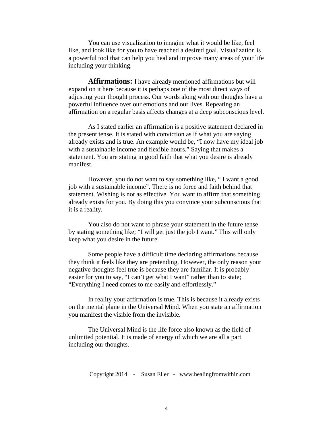You can use visualization to imagine what it would be like, feel like, and look like for you to have reached a desired goal. Visualization is a powerful tool that can help you heal and improve many areas of your life including your thinking.

**Affirmations:** I have already mentioned affirmations but will expand on it here because it is perhaps one of the most direct ways of adjusting your thought process. Our words along with our thoughts have a powerful influence over our emotions and our lives. Repeating an affirmation on a regular basis affects changes at a deep subconscious level.

As I stated earlier an affirmation is a positive statement declared in the present tense. It is stated with conviction as if what you are saying already exists and is true. An example would be, "I now have my ideal job with a sustainable income and flexible hours." Saying that makes a statement. You are stating in good faith that what you desire is already manifest.

However, you do not want to say something like, " I want a good job with a sustainable income". There is no force and faith behind that statement. Wishing is not as effective. You want to affirm that something already exists for you. By doing this you convince your subconscious that it is a reality.

You also do not want to phrase your statement in the future tense by stating something like; "I will get just the job I want." This will only keep what you desire in the future.

Some people have a difficult time declaring affirmations because they think it feels like they are pretending. However, the only reason your negative thoughts feel true is because they are familiar. It is probably easier for you to say, "I can't get what I want" rather than to state; "Everything I need comes to me easily and effortlessly."

In reality your affirmation is true. This is because it already exists on the mental plane in the Universal Mind. When you state an affirmation you manifest the visible from the invisible.

The Universal Mind is the life force also known as the field of unlimited potential. It is made of energy of which we are all a part including our thoughts.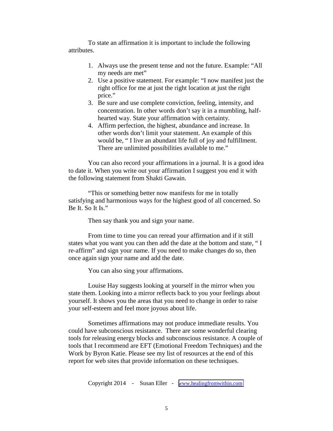To state an affirmation it is important to include the following attributes.

- 1. Always use the present tense and not the future. Example: "All my needs are met"
- 2. Use a positive statement. For example: "I now manifest just the right office for me at just the right location at just the right price."
- 3. Be sure and use complete conviction, feeling, intensity, and concentration. In other words don't say it in a mumbling, halfhearted way. State your affirmation with certainty.
- 4. Affirm perfection, the highest, abundance and increase. In other words don't limit your statement. An example of this would be, " I live an abundant life full of joy and fulfillment. There are unlimited possibilities available to me."

You can also record your affirmations in a journal. It is a good idea to date it. When you write out your affirmation I suggest you end it with the following statement from Shakti Gawain.

"This or something better now manifests for me in totally satisfying and harmonious ways for the highest good of all concerned. So Be It. So It Is."

Then say thank you and sign your name.

From time to time you can reread your affirmation and if it still states what you want you can then add the date at the bottom and state, " I re-affirm" and sign your name. If you need to make changes do so, then once again sign your name and add the date.

You can also sing your affirmations.

Louise Hay suggests looking at yourself in the mirror when you state them. Looking into a mirror reflects back to you your feelings about yourself. It shows you the areas that you need to change in order to raise your self-esteem and feel more joyous about life.

Sometimes affirmations may not produce immediate results. You could have subconscious resistance. There are some wonderful clearing tools for releasing energy blocks and subconscious resistance. A couple of tools that I recommend are EFT (Emotional Freedom Techniques) and the Work by Byron Katie. Please see my list of resources at the end of this report for web sites that provide information on these techniques.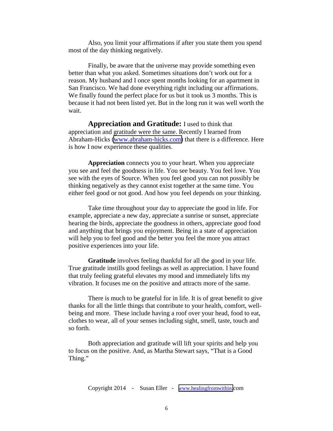Also, you limit your affirmations if after you state them you spend most of the day thinking negatively.

Finally, be aware that the universe may provide something even better than what you asked. Sometimes situations don't work out for a reason. My husband and I once spent months looking for an apartment in San Francisco. We had done everything right including our affirmations. We finally found the perfect place for us but it took us 3 months. This is because it had not been listed yet. But in the long run it was well worth the wait.

**Appreciation and Gratitude:** I used to think that appreciation and gratitude were the same. Recently I learned from Abraham-Hicks [\(www.abraham-hicks.com\)](http://www.abraham-hicks.com/) that there is a difference. Here is how I now experience these qualities.

**Appreciation** connects you to your heart. When you appreciate you see and feel the goodness in life. You see beauty. You feel love. You see with the eyes of Source. When you feel good you can not possibly be thinking negatively as they cannot exist together at the same time. You either feel good or not good. And how you feel depends on your thinking.

Take time throughout your day to appreciate the good in life. For example, appreciate a new day, appreciate a sunrise or sunset, appreciate hearing the birds, appreciate the goodness in others, appreciate good food and anything that brings you enjoyment. Being in a state of appreciation will help you to feel good and the better you feel the more you attract positive experiences into your life.

**Gratitude** involves feeling thankful for all the good in your life. True gratitude instills good feelings as well as appreciation. I have found that truly feeling grateful elevates my mood and immediately lifts my vibration. It focuses me on the positive and attracts more of the same.

There is much to be grateful for in life. It is of great benefit to give thanks for all the little things that contribute to your health, comfort, wellbeing and more. These include having a roof over your head, food to eat, clothes to wear, all of your senses including sight, smell, taste, touch and so forth.

Both appreciation and gratitude will lift your spirits and help you to focus on the positive. And, as Martha Stewart says, "That is a Good Thing."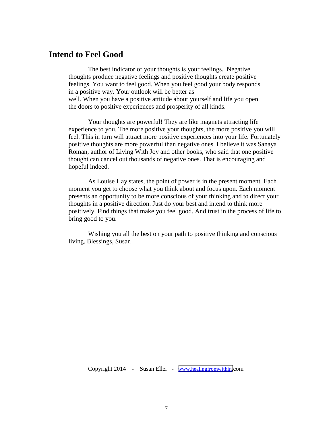### **Intend to Feel Good**

The best indicator of your thoughts is your feelings. Negative thoughts produce negative feelings and positive thoughts create positive feelings. You want to feel good. When you feel good your body responds in a positive way. Your outlook will be better as well. When you have a positive attitude about yourself and life you open the doors to positive experiences and prosperity of all kinds.

Your thoughts are powerful! They are like magnets attracting life experience to you. The more positive your thoughts, the more positive you will feel. This in turn will attract more positive experiences into your life. Fortunately positive thoughts are more powerful than negative ones. I believe it was Sanaya Roman, author of Living With Joy and other books, who said that one positive thought can cancel out thousands of negative ones. That is encouraging and hopeful indeed.

As Louise Hay states, the point of power is in the present moment. Each moment you get to choose what you think about and focus upon. Each moment presents an opportunity to be more conscious of your thinking and to direct your thoughts in a positive direction. Just do your best and intend to think more positively. Find things that make you feel good. And trust in the process of life to bring good to you.

Wishing you all the best on your path to positive thinking and conscious living. Blessings, Susan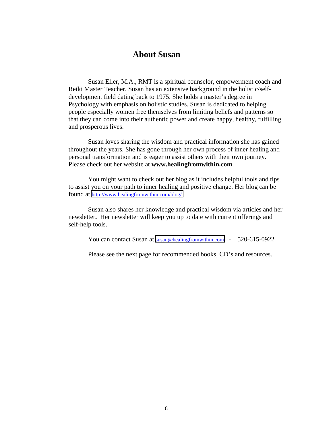# **About Susan**

Susan Eller, M.A., RMT is a spiritual counselor, empowerment coach and Reiki Master Teacher. Susan has an extensive background in the holistic/selfdevelopment field dating back to 1975. She holds a master's degree in Psychology with emphasis on holistic studies. Susan is dedicated to helping people especially women free themselves from limiting beliefs and patterns so that they can come into their authentic power and create happy, healthy, fulfilling and prosperous lives.

Susan loves sharing the wisdom and practical information she has gained throughout the years. She has gone through her own process of inner healing and personal transformation and is eager to assist others with their own journey. Please check out her website at **www.healingfromwithin.com**.

You might want to check out her blog as it includes helpful tools and tips to assist you on your path to inner healing and positive change. Her blog can be found at<http://www.healingfromwithin.com/blog/>

Susan also shares her knowledge and practical wisdom via articles and her newsletter**.** Her newsletter will keep you up to date with current offerings and self-help tools.

You can contact Susan at [susan@healingfromwithin.com](mailto:susan@healingfromwithin.com) - 520-615-0922

Please see the next page for recommended books, CD's and resources.